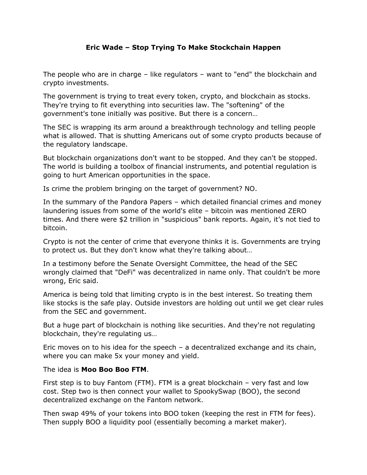## **Eric Wade – Stop Trying To Make Stockchain Happen**

The people who are in charge – like regulators – want to "end" the blockchain and crypto investments.

The government is trying to treat every token, crypto, and blockchain as stocks. They're trying to fit everything into securities law. The "softening" of the government's tone initially was positive. But there is a concern…

The SEC is wrapping its arm around a breakthrough technology and telling people what is allowed. That is shutting Americans out of some crypto products because of the regulatory landscape.

But blockchain organizations don't want to be stopped. And they can't be stopped. The world is building a toolbox of financial instruments, and potential regulation is going to hurt American opportunities in the space.

Is crime the problem bringing on the target of government? NO.

In the summary of the Pandora Papers – which detailed financial crimes and money laundering issues from some of the world's elite – bitcoin was mentioned ZERO times. And there were \$2 trillion in "suspicious" bank reports. Again, it's not tied to bitcoin.

Crypto is not the center of crime that everyone thinks it is. Governments are trying to protect us. But they don't know what they're talking about…

In a testimony before the Senate Oversight Committee, the head of the SEC wrongly claimed that "DeFi" was decentralized in name only. That couldn't be more wrong, Eric said.

America is being told that limiting crypto is in the best interest. So treating them like stocks is the safe play. Outside investors are holding out until we get clear rules from the SEC and government.

But a huge part of blockchain is nothing like securities. And they're not regulating blockchain, they're regulating us…

Eric moves on to his idea for the speech – a decentralized exchange and its chain, where you can make 5x your money and yield.

The idea is **Moo Boo Boo FTM**.

First step is to buy Fantom (FTM). FTM is a great blockchain – very fast and low cost. Step two is then connect your wallet to SpookySwap (BOO), the second decentralized exchange on the Fantom network.

Then swap 49% of your tokens into BOO token (keeping the rest in FTM for fees). Then supply BOO a liquidity pool (essentially becoming a market maker).